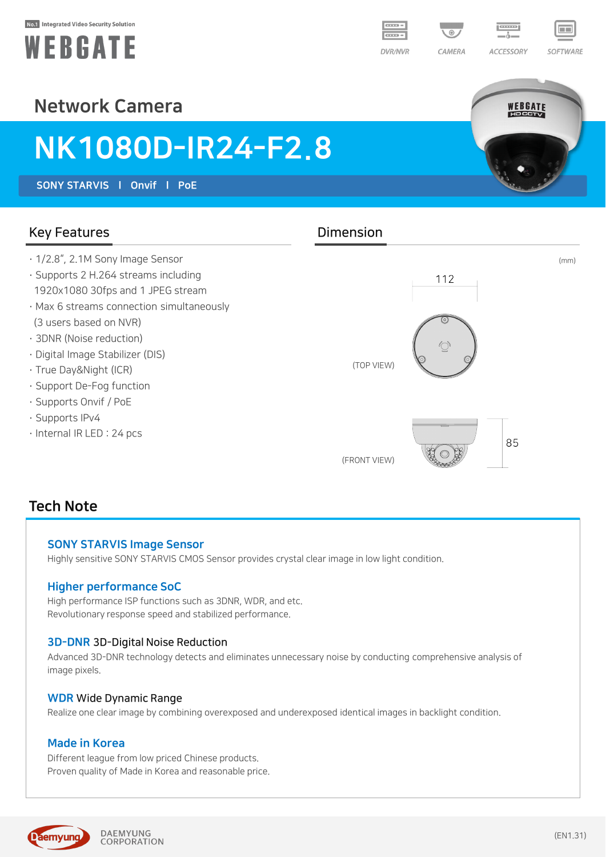#### No.1 Integrated Video Security Solution





WEBGATE

# Network Camera

# NK1080D-IR24-F2.8

SONY STARVIS l Onvif l PoE

## Key Features **Dimension**

- · 1/2.8", 2.1M Sony Image Sensor
- · Supports 2 H.264 streams including 1920x1080 30fps and 1 JPEG stream
- · Max 6 streams connection simultaneously (3 users based on NVR)
- · 3DNR (Noise reduction)
- · Digital Image Stabilizer (DIS)
- · True Day&Night (ICR)
- · Support De-Fog function
- · Supports Onvif / PoE
- · Supports IPv4
- · Internal IR LED : 24 pcs



# Tech Note

#### SONY STARVIS Image Sensor

Highly sensitive SONY STARVIS CMOS Sensor provides crystal clear image in low light condition.

### Higher performance SoC

High performance ISP functions such as 3DNR, WDR, and etc. Revolutionary response speed and stabilized performance.

#### 3D-DNR 3D-Digital Noise Reduction

Advanced 3D-DNR technology detects and eliminates unnecessary noise by conducting comprehensive analysis of image pixels.

#### WDR Wide Dynamic Range

Realize one clear image by combining overexposed and underexposed identical images in backlight condition.

### Made in Korea

Different league from low priced Chinese products. Proven quality of Made in Korea and reasonable price.